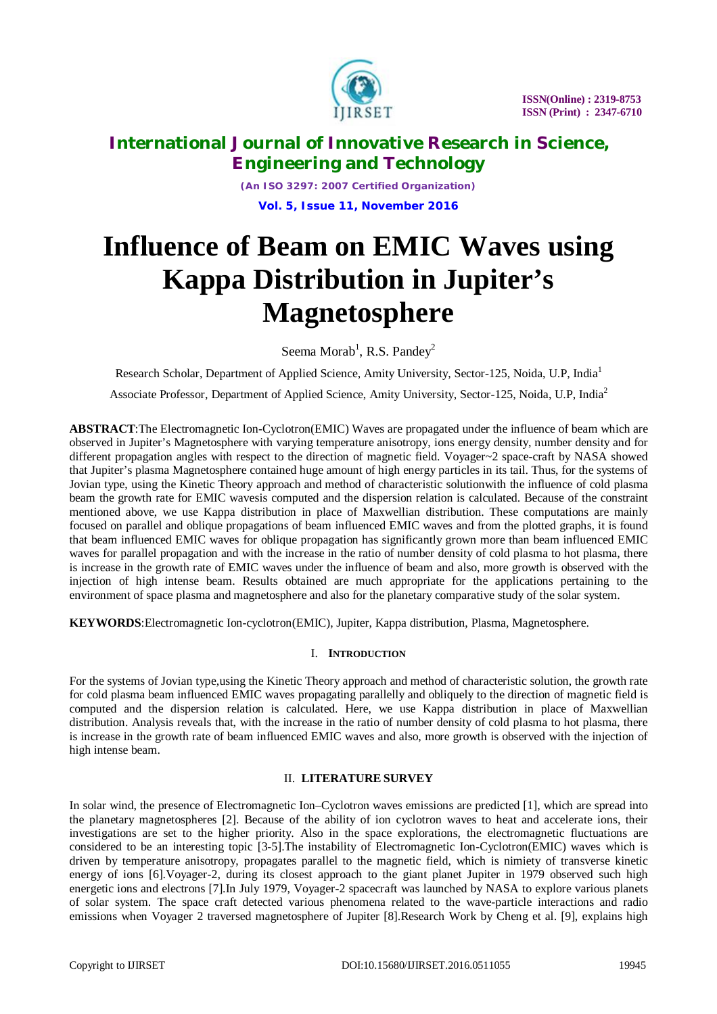

*(An ISO 3297: 2007 Certified Organization)* **Vol. 5, Issue 11, November 2016**

# **Influence of Beam on EMIC Waves using Kappa Distribution in Jupiter's Magnetosphere**

Seema Morab<sup>1</sup>, R.S. Pandey<sup>2</sup>

Research Scholar, Department of Applied Science, Amity University, Sector-125, Noida, U.P, India<sup>1</sup>

Associate Professor, Department of Applied Science, Amity University, Sector-125, Noida, U.P, India<sup>2</sup>

**ABSTRACT**:The Electromagnetic Ion-Cyclotron(EMIC) Waves are propagated under the influence of beam which are observed in Jupiter's Magnetosphere with varying temperature anisotropy, ions energy density, number density and for different propagation angles with respect to the direction of magnetic field. Voyager~2 space-craft by NASA showed that Jupiter's plasma Magnetosphere contained huge amount of high energy particles in its tail. Thus, for the systems of Jovian type, using the Kinetic Theory approach and method of characteristic solutionwith the influence of cold plasma beam the growth rate for EMIC wavesis computed and the dispersion relation is calculated. Because of the constraint mentioned above, we use Kappa distribution in place of Maxwellian distribution. These computations are mainly focused on parallel and oblique propagations of beam influenced EMIC waves and from the plotted graphs, it is found that beam influenced EMIC waves for oblique propagation has significantly grown more than beam influenced EMIC waves for parallel propagation and with the increase in the ratio of number density of cold plasma to hot plasma, there is increase in the growth rate of EMIC waves under the influence of beam and also, more growth is observed with the injection of high intense beam. Results obtained are much appropriate for the applications pertaining to the environment of space plasma and magnetosphere and also for the planetary comparative study of the solar system.

**KEYWORDS**:Electromagnetic Ion-cyclotron(EMIC), Jupiter, Kappa distribution, Plasma, Magnetosphere.

### I. **INTRODUCTION**

For the systems of Jovian type,using the Kinetic Theory approach and method of characteristic solution, the growth rate for cold plasma beam influenced EMIC waves propagating parallelly and obliquely to the direction of magnetic field is computed and the dispersion relation is calculated. Here, we use Kappa distribution in place of Maxwellian distribution. Analysis reveals that, with the increase in the ratio of number density of cold plasma to hot plasma, there is increase in the growth rate of beam influenced EMIC waves and also, more growth is observed with the injection of high intense beam.

### II. **LITERATURE SURVEY**

In solar wind, the presence of Electromagnetic Ion–Cyclotron waves emissions are predicted [1], which are spread into the planetary magnetospheres [2]. Because of the ability of ion cyclotron waves to heat and accelerate ions, their investigations are set to the higher priority. Also in the space explorations, the electromagnetic fluctuations are considered to be an interesting topic [3-5].The instability of Electromagnetic Ion-Cyclotron(EMIC) waves which is driven by temperature anisotropy, propagates parallel to the magnetic field, which is nimiety of transverse kinetic energy of ions [6].Voyager-2, during its closest approach to the giant planet Jupiter in 1979 observed such high energetic ions and electrons [7].In July 1979, Voyager-2 spacecraft was launched by NASA to explore various planets of solar system. The space craft detected various phenomena related to the wave-particle interactions and radio emissions when Voyager 2 traversed magnetosphere of Jupiter [8].Research Work by Cheng et al. [9], explains high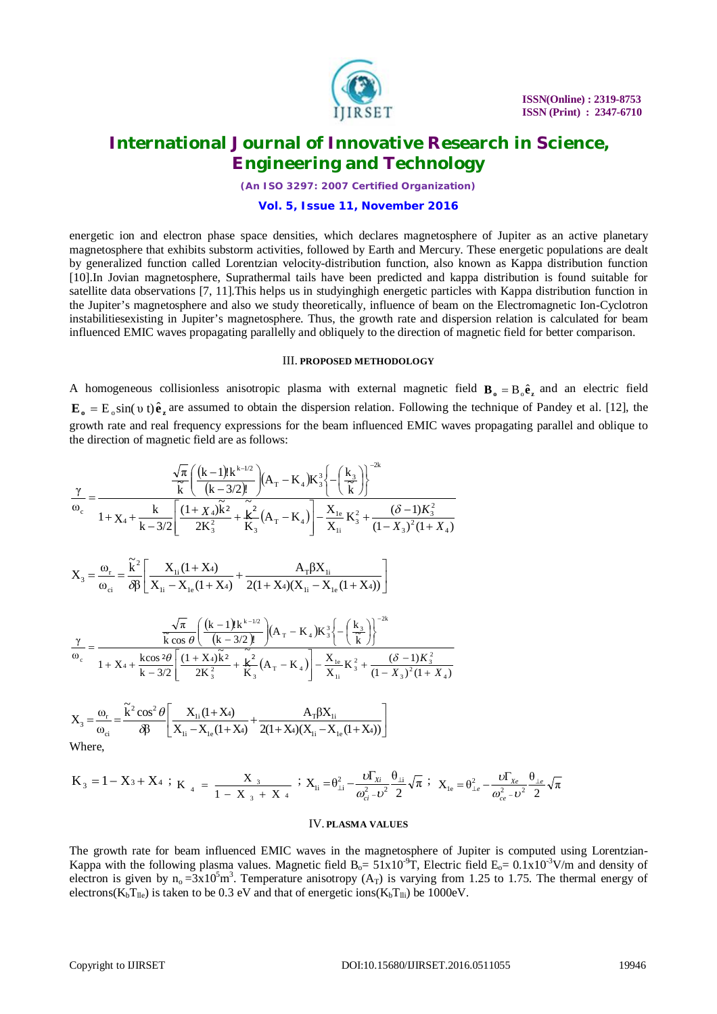

*(An ISO 3297: 2007 Certified Organization)*

### **Vol. 5, Issue 11, November 2016**

energetic ion and electron phase space densities, which declares magnetosphere of Jupiter as an active planetary magnetosphere that exhibits substorm activities, followed by Earth and Mercury. These energetic populations are dealt by generalized function called Lorentzian velocity-distribution function, also known as Kappa distribution function [10].In Jovian magnetosphere, Suprathermal tails have been predicted and kappa distribution is found suitable for satellite data observations [7, 11].This helps us in studyinghigh energetic particles with Kappa distribution function in the Jupiter's magnetosphere and also we study theoretically, influence of beam on the Electromagnetic Ion-Cyclotron instabilitiesexisting in Jupiter's magnetosphere. Thus, the growth rate and dispersion relation is calculated for beam influenced EMIC waves propagating parallelly and obliquely to the direction of magnetic field for better comparison.

#### III. **PROPOSED METHODOLOGY**

A homogeneous collisionless anisotropic plasma with external magnetic field  $\mathbf{B}_o = B_o \hat{\mathbf{e}}_z$  and an electric field  $\mathbf{E}_{o} = \mathbf{E}_{o} \sin(v \, t) \hat{\mathbf{e}}_{z}$  are assumed to obtain the dispersion relation. Following the technique of Pandey et al. [12], the growth rate and real frequency expressions for the beam influenced EMIC waves propagating parallel and oblique to the direction of magnetic field are as follows:

$$
\frac{\gamma}{\omega_{c}} = \frac{\frac{\sqrt{\pi}}{\tilde{k}} \left( \frac{(k-1)! k^{k-1/2}}{(k-3/2)!} \right) (A_{T} - K_{4}) K_{3}^{3} \left\{ -\left( \frac{k_{3}}{\tilde{k}} \right) \right\}^{-2k}}{1 + X_{4} + \frac{k}{k-3/2} \left[ \frac{(1 + X_{4}) \tilde{k}^{2}}{2 K_{3}^{2}} + \frac{\tilde{k}^{2}}{K_{3}} (A_{T} - K_{4}) \right] - \frac{X_{1e}}{X_{1i}} K_{3}^{2} + \frac{(\delta - 1) K_{3}^{2}}{(1 - X_{3})^{2} (1 + X_{4})}
$$
\n
$$
X_{3} = \frac{\omega_{r}}{\omega_{ci}} = \frac{\tilde{k}^{2}}{\delta \beta} \left[ \frac{X_{1i} (1 + X_{4})}{X_{1i} - X_{1e} (1 + X_{4})} + \frac{A_{T} \beta X_{1i}}{2(1 + X_{4}) (X_{1i} - X_{1e} (1 + X_{4}))} \right]
$$
\n
$$
\frac{\sqrt{\pi}}{\tilde{k} \cos \theta} \left( \frac{(k - 1)! k^{k-1/2}}{(k - 3/2)!} \right) (A_{T} - K_{4}) K_{3}^{3} \left\{ -\left( \frac{k_{3}}{\tilde{k}} \right) \right\}^{-2k}
$$
\n
$$
\frac{\gamma}{\omega_{c}} = \frac{\frac{\sqrt{\pi}}{\tilde{k} \cos 2\theta} \left[ \frac{(1 + X_{4}) \tilde{k}^{2}}{(k - 3/2)!} + \frac{\tilde{k}^{2}}{K_{3}} (A_{T} - K_{4}) \right] - \frac{X_{1e}}{X_{1i}} K_{3}^{2} + \frac{(\delta - 1) K_{3}^{2}}{(1 - X_{3})^{2} (1 + X_{4})}
$$

$$
X_{3} = \frac{\omega_{r}}{\omega_{ci}} = \frac{\tilde{k}^{2} \cos^{2} \theta}{\delta \beta} \left[ \frac{X_{1i}(1+X_{4})}{X_{1i} - X_{1e}(1+X_{4})} + \frac{A_{T} \beta X_{1i}}{2(1+X_{4})(X_{1i} - X_{1e}(1+X_{4}))} \right]
$$
  
Where,

$$
K_3 = 1 - X_3 + X_4 \ ; \ \ K_{_{-4}} \ = \ \frac{X_{_{-3}}}{1 - X_{_{-3}} + X_{_{-4}}} \ ; \ \ X_{_{li}} = \theta_{\perp i}^2 - \frac{\omega_{\Gamma_{Xi}}}{\omega_{\text{ci}}^2 - \omega^2} \frac{\theta_{\perp i}}{2} \sqrt{\pi} \ ; \ \ X_{_{le}} = \theta_{\perp e}^2 - \frac{\omega_{\Gamma_{Xe}}}{\omega_{\text{ce}}^2 - \omega^2} \frac{\theta_{\perp e}}{2} \sqrt{\pi} \ .
$$

#### IV. **PLASMA VALUES**

The growth rate for beam influenced EMIC waves in the magnetosphere of Jupiter is computed using Lorentzian-Kappa with the following plasma values. Magnetic field  $B_0 = 51x10^{-9}T$ , Electric field  $E_0 = 0.1x10^{-3}V/m$  and density of electron is given by  $n_0 = 3x10^5 m^3$ . Temperature anisotropy (A<sub>T</sub>) is varying from 1.25 to 1.75. The thermal energy of electrons( $K_bT_{lle}$ ) is taken to be 0.3 eV and that of energetic ions( $K_bT_{lli}$ ) be 1000eV.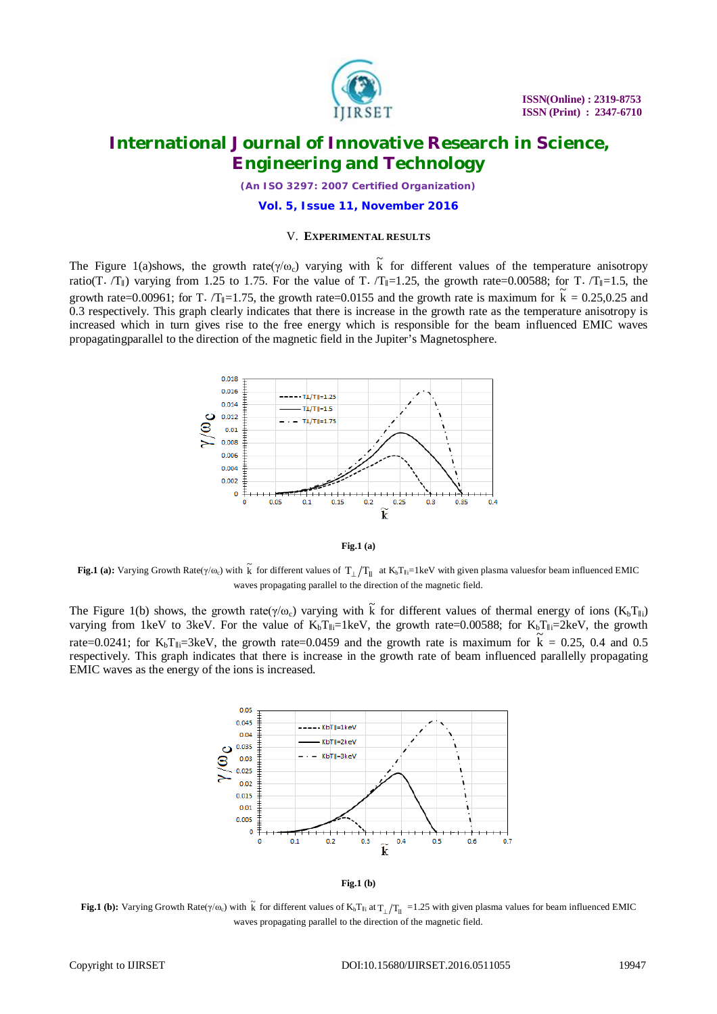

*(An ISO 3297: 2007 Certified Organization)*

**Vol. 5, Issue 11, November 2016**

#### V. **EXPERIMENTAL RESULTS**

The Figure 1(a)shows, the growth rate( $\gamma/\omega_c$ ) varying with  $\tilde{k}$  for different values of the temperature anisotropy ratio(T⋅ /T<sub>||</sub>) varying from 1.25 to 1.75. For the value of T⋅ /T<sub>||</sub>=1.25, the growth rate=0.00588; for T⋅ /T<sub>||</sub>=1.5, the growth rate=0.00961; for T.  $/T_{\parallel}$ =1.75, the growth rate=0.0155 and the growth rate is maximum for  $\tilde{k} = 0.25, 0.25$  and 0.3 respectively. This graph clearly indicates that there is increase in the growth rate as the temperature anisotropy is increased which in turn gives rise to the free energy which is responsible for the beam influenced EMIC waves propagatingparallel to the direction of the magnetic field in the Jupiter's Magnetosphere.





**Fig.1 (a):** Varying Growth Rate( $\gamma/\omega_c$ ) with  $\tilde{k}$  for different values of  $T_\perp/T_\parallel$  at K<sub>b</sub>T<sub>∥i</sub>=1keV with given plasma valuesfor beam influenced EMIC waves propagating parallel to the direction of the magnetic field.

The Figure 1(b) shows, the growth rate( $\gamma/\omega_c$ ) varying with  $\tilde{k}$  for different values of thermal energy of ions (K<sub>b</sub>T<sub>||i</sub>) varying from 1keV to 3keV. For the value of  $K_bT_{\parallel i}=1$ keV, the growth rate=0.00588; for  $K_bT_{\parallel i}=2$ keV, the growth rate=0.0241; for  $K_bT_{li}=3keV$ , the growth rate=0.0459 and the growth rate is maximum for  $\tilde{K} = 0.25$ , 0.4 and 0.5 respectively. This graph indicates that there is increase in the growth rate of beam influenced parallelly propagating EMIC waves as the energy of the ions is increased.



**Fig.1 (b)**

**Fig.1 (b):** Varying Growth Rate( $\gamma/\omega_c$ ) with  $\tilde{k}$  for different values of K<sub>b</sub>T<sub>ll</sub> at  $T_{\perp}/T_{\parallel}$  =1.25 with given plasma values for beam influenced EMIC waves propagating parallel to the direction of the magnetic field.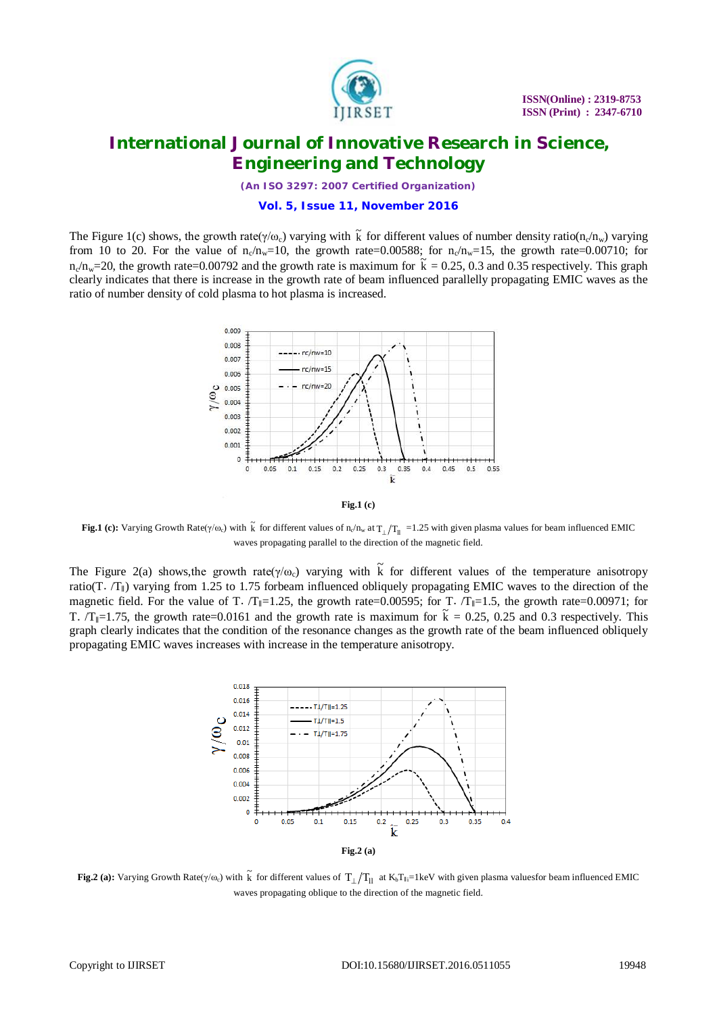

*(An ISO 3297: 2007 Certified Organization)*

### **Vol. 5, Issue 11, November 2016**

The Figure 1(c) shows, the growth rate( $\gamma/\omega_c$ ) varying with  $\tilde{k}$  for different values of number density ratio(n<sub>c</sub>/n<sub>w</sub>) varying from 10 to 20. For the value of  $n_c/n_w=10$ , the growth rate=0.00588; for  $n_c/n_w=15$ , the growth rate=0.00710; for  $n_c/n_w=20$ , the growth rate=0.00792 and the growth rate is maximum for  $\tilde{k} = 0.25, 0.3$  and 0.35 respectively. This graph clearly indicates that there is increase in the growth rate of beam influenced parallelly propagating EMIC waves as the ratio of number density of cold plasma to hot plasma is increased.



**Fig.1 (c)**

**Fig.1** (c): Varying Growth Rate( $\gamma/\omega_c$ ) with  $\tilde{k}$  for different values of  $n_c/n_w$  at  $T_\perp/T_{\rm H}$  =1.25 with given plasma values for beam influenced EMIC waves propagating parallel to the direction of the magnetic field.

The Figure 2(a) shows, the growth rate( $\gamma/\omega_c$ ) varying with  $\tilde{k}$  for different values of the temperature anisotropy ratio(T.  $/T_{\parallel}$ ) varying from 1.25 to 1.75 forbeam influenced obliquely propagating EMIC waves to the direction of the magnetic field. For the value of T. /T<sub>∥</sub>=1.25, the growth rate=0.00595; for T. /T<sub>∥</sub>=1.5, the growth rate=0.00971; for T.  $/T_{\parallel}$ =1.75, the growth rate=0.0161 and the growth rate is maximum for  $\tilde{k} = 0.25$ , 0.25 and 0.3 respectively. This graph clearly indicates that the condition of the resonance changes as the growth rate of the beam influenced obliquely propagating EMIC waves increases with increase in the temperature anisotropy.



**Fig.2 (a):** Varying Growth Rate( $\gamma/\omega_c$ ) with  $\tilde{k}$  for different values of  $T_\perp/T_{ll}$  at K<sub>b</sub>T<sub>li</sub>=1keV with given plasma valuesfor beam influenced EMIC waves propagating oblique to the direction of the magnetic field.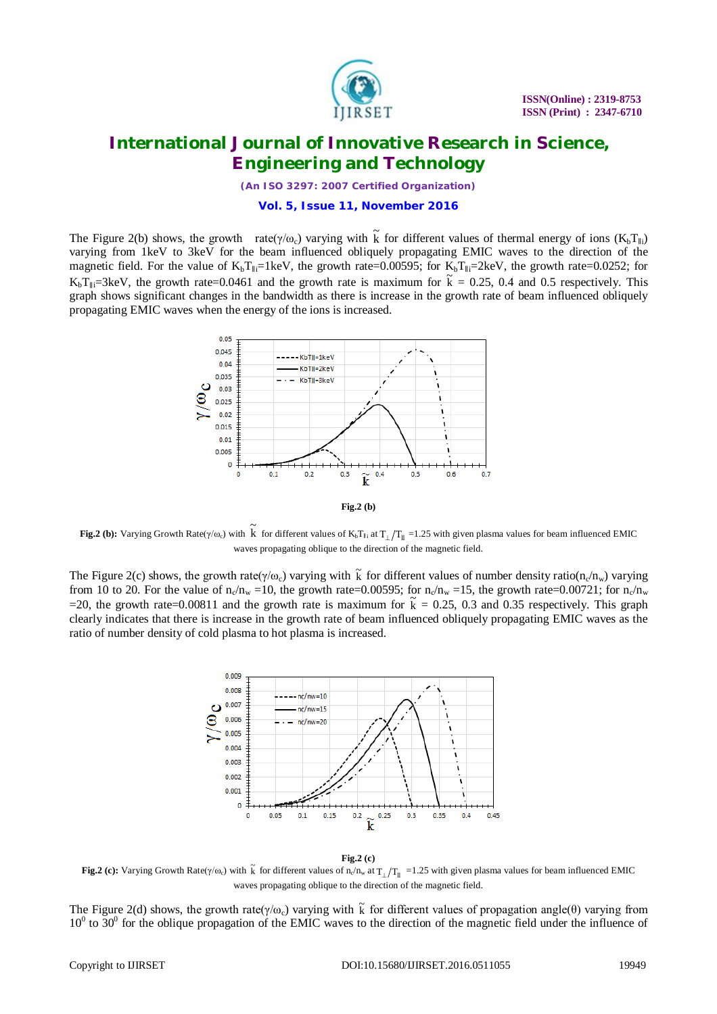

*(An ISO 3297: 2007 Certified Organization)*

### **Vol. 5, Issue 11, November 2016**

The Figure 2(b) shows, the growth rate( $\gamma/\omega_c$ ) varying with  $\tilde{k}$  for different values of thermal energy of ions (K<sub>b</sub>T<sub>||i</sub>) varying from 1keV to 3keV for the beam influenced obliquely propagating EMIC waves to the direction of the magnetic field. For the value of  $K_bT_{\parallel i}=1$ keV, the growth rate=0.00595; for  $K_bT_{\parallel i}=2$ keV, the growth rate=0.0252; for  $K_bT_{\parallel i}=3keV$ , the growth rate=0.0461 and the growth rate is maximum for  $\tilde{k} = 0.25$ , 0.4 and 0.5 respectively. This graph shows significant changes in the bandwidth as there is increase in the growth rate of beam influenced obliquely propagating EMIC waves when the energy of the ions is increased.



**Fig.2 (b):** Varying Growth Rate( $\gamma/\omega_c$ ) with  $\tilde{k}$  for different values of K<sub>b</sub>T<sub>∥i</sub> at T<sub>⊥</sub>/T<sub>|l</sub> =1.25 with given plasma values for beam influenced EMIC waves propagating oblique to the direction of the magnetic field.

The Figure 2(c) shows, the growth rate( $\gamma/\omega_c$ ) varying with  $\tilde{k}$  for different values of number density ratio(n<sub>c</sub>/n<sub>w</sub>) varying from 10 to 20. For the value of  $n_c/n_w = 10$ , the growth rate=0.00595; for  $n_c/n_w = 15$ , the growth rate=0.00721; for  $n_c/n_w$ =20, the growth rate=0.00811 and the growth rate is maximum for  $\tilde{k} = 0.25$ , 0.3 and 0.35 respectively. This graph clearly indicates that there is increase in the growth rate of beam influenced obliquely propagating EMIC waves as the ratio of number density of cold plasma to hot plasma is increased.



#### **Fig.2 (c)**

**Fig.2 (c):** Varying Growth Rate( $\gamma/\omega_c$ ) with  $\tilde{k}$  for different values of n<sub>c</sub>/n<sub>w</sub> at  $T_{\perp}/T_{\parallel}$  =1.25 with given plasma values for beam influenced EMIC waves propagating oblique to the direction of the magnetic field.

The Figure 2(d) shows, the growth rate( $\gamma/\omega_c$ ) varying with  $\tilde{k}$  for different values of propagation angle( $\theta$ ) varying from  $10^0$  to  $30^0$  for the oblique propagation of the EMIC waves to the direction of the magnetic field under the influence of